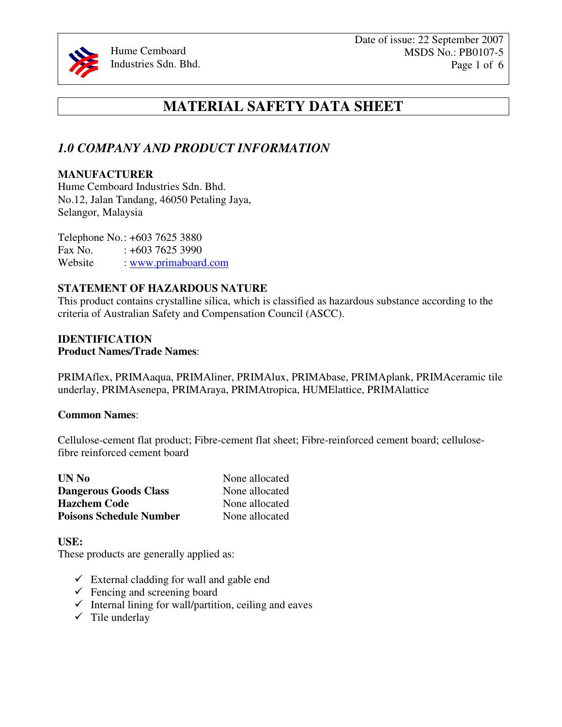

# **MATERIAL SAFETY DATA SHEET**

## *1.0 COMPANY AND PRODUCT INFORMATION*

## **MANUFACTURER**

Hume Cemboard Industries Sdn. Bhd. No.12, Jalan Tandang, 46050 Petaling Jaya, Selangor, Malaysia

Telephone No.: +603 7625 3880 Fax No.  $: +60376253990$ Website : www.primaboard.com

## **STATEMENT OF HAZARDOUS NATURE**

This product contains crystalline silica, which is classified as hazardous substance according to the criteria of Australian Safety and Compensation Council (ASCC).

#### **IDENTIFICATION Product Names/Trade Names**:

PRIMAflex, PRIMAaqua, PRIMAliner, PRIMAlux, PRIMAbase, PRIMAplank, PRIMAceramic tile underlay, PRIMAsenepa, PRIMAraya, PRIMAtropica, HUMElattice, PRIMAlattice

### **Common Names**:

Cellulose-cement flat product; Fibre-cement flat sheet; Fibre-reinforced cement board; cellulosefibre reinforced cement board

| UN No                          | None allocated |
|--------------------------------|----------------|
| <b>Dangerous Goods Class</b>   | None allocated |
| <b>Hazchem Code</b>            | None allocated |
| <b>Poisons Schedule Number</b> | None allocated |

### **USE:**

These products are generally applied as:

- $\checkmark$  External cladding for wall and gable end
- $\checkmark$  Fencing and screening board
- $\checkmark$  Internal lining for wall/partition, ceiling and eaves
- $\checkmark$  Tile underlay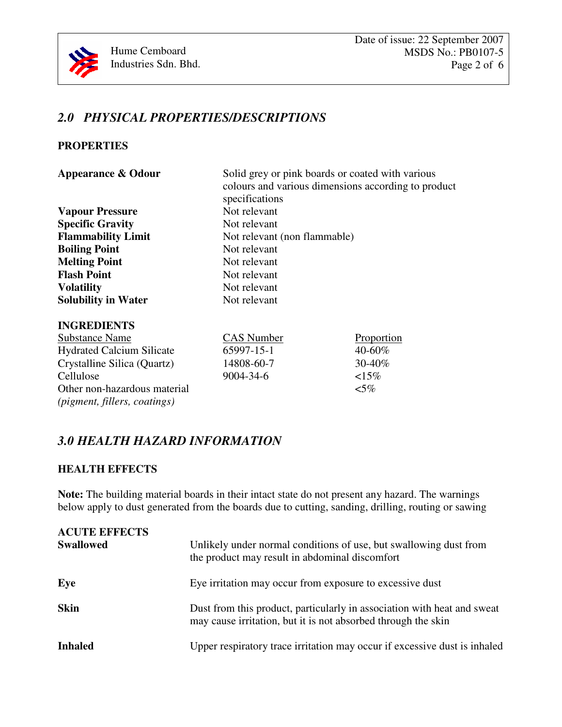

# *2.0 PHYSICAL PROPERTIES/DESCRIPTIONS*

## **PROPERTIES**

| <b>Appearance &amp; Odour</b> |  |
|-------------------------------|--|
|-------------------------------|--|

| colours and various dimensions according to product |                              |             |
|-----------------------------------------------------|------------------------------|-------------|
|                                                     | specifications               |             |
| <b>Vapour Pressure</b>                              | Not relevant                 |             |
| <b>Specific Gravity</b>                             | Not relevant                 |             |
| <b>Flammability Limit</b>                           | Not relevant (non flammable) |             |
| <b>Boiling Point</b>                                | Not relevant                 |             |
| <b>Melting Point</b>                                | Not relevant                 |             |
| <b>Flash Point</b>                                  | Not relevant                 |             |
| <b>Volatility</b>                                   | Not relevant                 |             |
| <b>Solubility in Water</b>                          | Not relevant                 |             |
| <b>INGREDIENTS</b>                                  |                              |             |
| <b>Substance Name</b>                               | <b>CAS</b> Number            | Proportion  |
| <b>Hydrated Calcium Silicate</b>                    | 65997-15-1                   | $40 - 60\%$ |
| Crystalline Silica (Quartz)                         | 14808-60-7                   | 30-40%      |
| Cellulose                                           | 9004-34-6                    | $15\%$      |
| Other non-hazardous material                        |                              | $<$ 5%      |
| (pigment, fillers, coatings)                        |                              |             |

Solid grey or pink boards or coated with various

# *3.0 HEALTH HAZARD INFORMATION*

## **HEALTH EFFECTS**

**Note:** The building material boards in their intact state do not present any hazard. The warnings below apply to dust generated from the boards due to cutting, sanding, drilling, routing or sawing

| <b>ACUTE EFFECTS</b><br><b>Swallowed</b> | Unlikely under normal conditions of use, but swallowing dust from<br>the product may result in abdominal discomfort                      |
|------------------------------------------|------------------------------------------------------------------------------------------------------------------------------------------|
| Eye                                      | Eye irritation may occur from exposure to excessive dust                                                                                 |
| <b>Skin</b>                              | Dust from this product, particularly in association with heat and sweat<br>may cause irritation, but it is not absorbed through the skin |
| <b>Inhaled</b>                           | Upper respiratory trace irritation may occur if excessive dust is inhaled                                                                |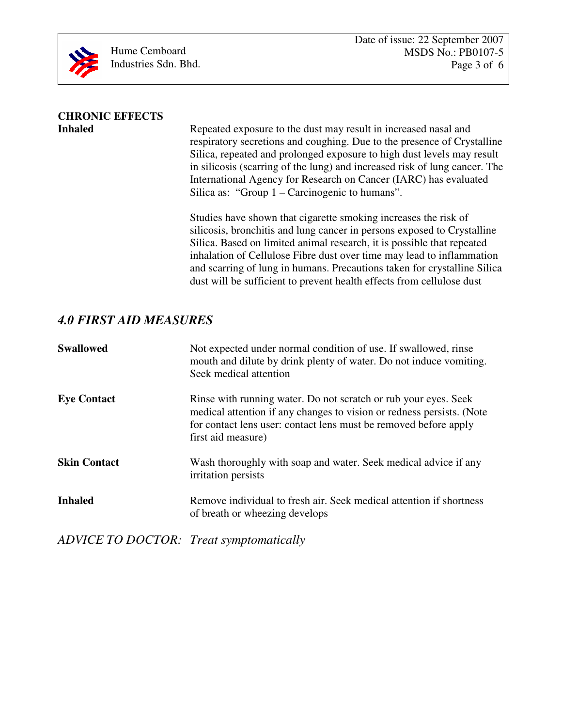

# **CHRONIC EFFECTS**

Repeated exposure to the dust may result in increased nasal and respiratory secretions and coughing. Due to the presence of Crystalline Silica, repeated and prolonged exposure to high dust levels may result in silicosis (scarring of the lung) and increased risk of lung cancer. The International Agency for Research on Cancer (IARC) has evaluated Silica as: "Group 1 – Carcinogenic to humans".

 Studies have shown that cigarette smoking increases the risk of silicosis, bronchitis and lung cancer in persons exposed to Crystalline Silica. Based on limited animal research, it is possible that repeated inhalation of Cellulose Fibre dust over time may lead to inflammation and scarring of lung in humans. Precautions taken for crystalline Silica dust will be sufficient to prevent health effects from cellulose dust

## *4.0 FIRST AID MEASURES*

| <b>Swallowed</b>    | Not expected under normal condition of use. If swallowed, rinse<br>mouth and dilute by drink plenty of water. Do not induce vomiting.<br>Seek medical attention                                                                    |
|---------------------|------------------------------------------------------------------------------------------------------------------------------------------------------------------------------------------------------------------------------------|
| <b>Eye Contact</b>  | Rinse with running water. Do not scratch or rub your eyes. Seek<br>medical attention if any changes to vision or redness persists. (Note<br>for contact lens user: contact lens must be removed before apply<br>first aid measure) |
| <b>Skin Contact</b> | Wash thoroughly with soap and water. Seek medical advice if any<br>irritation persists                                                                                                                                             |
| <b>Inhaled</b>      | Remove individual to fresh air. Seek medical attention if shortness<br>of breath or wheezing develops                                                                                                                              |

*ADVICE TO DOCTOR: Treat symptomatically*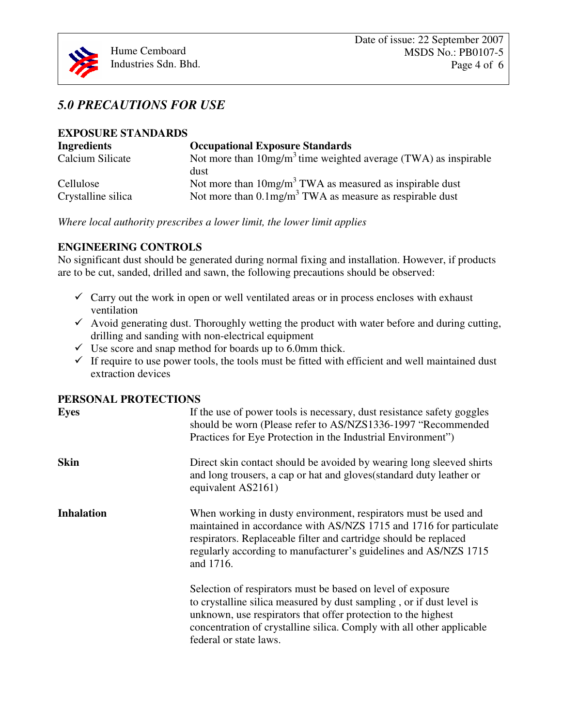# *5.0 PRECAUTIONS FOR USE*

| <b>EXPOSURE STANDARDS</b>       |                                                                                                                                       |  |  |
|---------------------------------|---------------------------------------------------------------------------------------------------------------------------------------|--|--|
| <b>Ingredients</b>              | <b>Occupational Exposure Standards</b>                                                                                                |  |  |
| Calcium Silicate                | Not more than $10mg/m3$ time weighted average (TWA) as inspirable<br>dust                                                             |  |  |
| Cellulose<br>Crystalline silica | Not more than $10mg/m3 TWA$ as measured as inspirable dust<br>Not more than $0.1$ mg/m <sup>3</sup> TWA as measure as respirable dust |  |  |

*Where local authority prescribes a lower limit, the lower limit applies* 

## **ENGINEERING CONTROLS**

No significant dust should be generated during normal fixing and installation. However, if products are to be cut, sanded, drilled and sawn, the following precautions should be observed:

- $\checkmark$  Carry out the work in open or well ventilated areas or in process encloses with exhaust ventilation
- $\checkmark$  Avoid generating dust. Thoroughly wetting the product with water before and during cutting, drilling and sanding with non-electrical equipment
- $\checkmark$  Use score and snap method for boards up to 6.0mm thick.
- $\checkmark$  If require to use power tools, the tools must be fitted with efficient and well maintained dust extraction devices

## **PERSONAL PROTECTIONS**

| <b>Eyes</b>       | If the use of power tools is necessary, dust resistance safety goggles<br>should be worn (Please refer to AS/NZS1336-1997 "Recommended<br>Practices for Eye Protection in the Industrial Environment")                                                                                                  |
|-------------------|---------------------------------------------------------------------------------------------------------------------------------------------------------------------------------------------------------------------------------------------------------------------------------------------------------|
| <b>Skin</b>       | Direct skin contact should be avoided by wearing long sleeved shirts<br>and long trousers, a cap or hat and gloves (standard duty leather or<br>equivalent AS2161)                                                                                                                                      |
| <b>Inhalation</b> | When working in dusty environment, respirators must be used and<br>maintained in accordance with AS/NZS 1715 and 1716 for particulate<br>respirators. Replaceable filter and cartridge should be replaced<br>regularly according to manufacturer's guidelines and AS/NZS 1715<br>and 1716.              |
|                   | Selection of respirators must be based on level of exposure<br>to crystalline silica measured by dust sampling, or if dust level is<br>unknown, use respirators that offer protection to the highest<br>concentration of crystalline silica. Comply with all other applicable<br>federal or state laws. |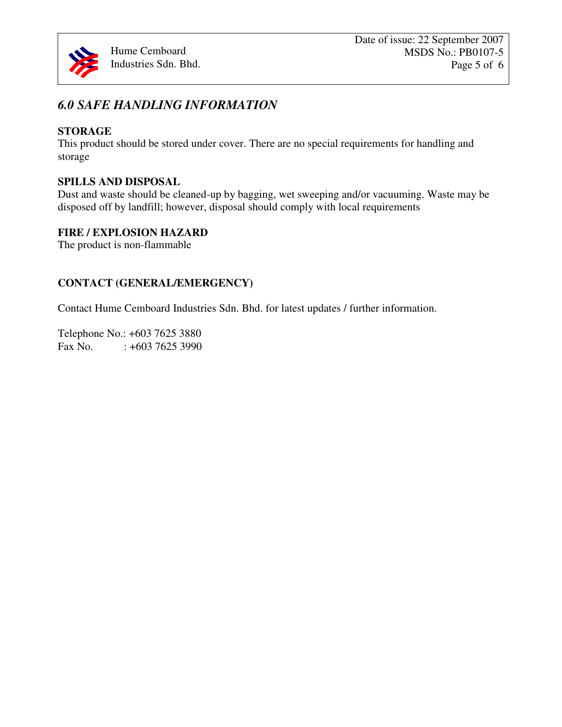

# *6.0 SAFE HANDLING INFORMATION*

## **STORAGE**

This product should be stored under cover. There are no special requirements for handling and storage

## **SPILLS AND DISPOSAL**

Dust and waste should be cleaned-up by bagging, wet sweeping and/or vacuuming. Waste may be disposed off by landfill; however, disposal should comply with local requirements

## **FIRE / EXPLOSION HAZARD**

The product is non-flammable

## **CONTACT (GENERAL/EMERGENCY)**

Contact Hume Cemboard Industries Sdn. Bhd. for latest updates / further information.

Telephone No.: +603 7625 3880 Fax No.  $: +60376253990$